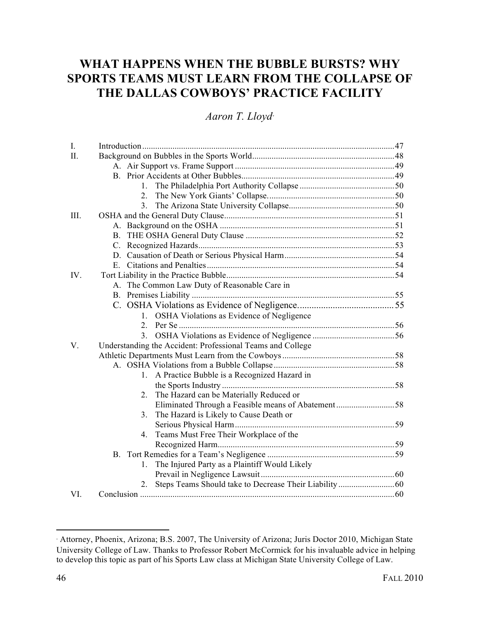# **WHAT HAPPENS WHEN THE BUBBLE BURSTS? WHY SPORTS TEAMS MUST LEARN FROM THE COLLAPSE OF THE DALLAS COWBOYS' PRACTICE FACILITY**

# *Aaron T. Lloyd*<sup>∗</sup>

| I.      |                                                            |  |
|---------|------------------------------------------------------------|--|
| $\Pi$ . |                                                            |  |
|         |                                                            |  |
|         |                                                            |  |
|         |                                                            |  |
|         | $2_{-}$                                                    |  |
|         |                                                            |  |
| III.    |                                                            |  |
|         |                                                            |  |
|         |                                                            |  |
|         |                                                            |  |
|         |                                                            |  |
|         |                                                            |  |
| IV.     |                                                            |  |
|         | A. The Common Law Duty of Reasonable Care in               |  |
|         |                                                            |  |
|         |                                                            |  |
|         | 1. OSHA Violations as Evidence of Negligence               |  |
|         |                                                            |  |
|         |                                                            |  |
| V.      | Understanding the Accident: Professional Teams and College |  |
|         |                                                            |  |
|         |                                                            |  |
|         | A Practice Bubble is a Recognized Hazard in<br>$1_{-}$     |  |
|         |                                                            |  |
|         | The Hazard can be Materially Reduced or<br>2.              |  |
|         | Eliminated Through a Feasible means of Abatement58         |  |
|         | The Hazard is Likely to Cause Death or<br>3 <sub>1</sub>   |  |
|         |                                                            |  |
|         | Teams Must Free Their Workplace of the<br>4.               |  |
|         |                                                            |  |
|         |                                                            |  |
|         | The Injured Party as a Plaintiff Would Likely<br>$1_{-}$   |  |
|         |                                                            |  |
|         | 2.                                                         |  |
| VI.     |                                                            |  |

<sup>∗</sup> Attorney, Phoenix, Arizona; B.S. 2007, The University of Arizona; Juris Doctor 2010, Michigan State University College of Law. Thanks to Professor Robert McCormick for his invaluable advice in helping to develop this topic as part of his Sports Law class at Michigan State University College of Law.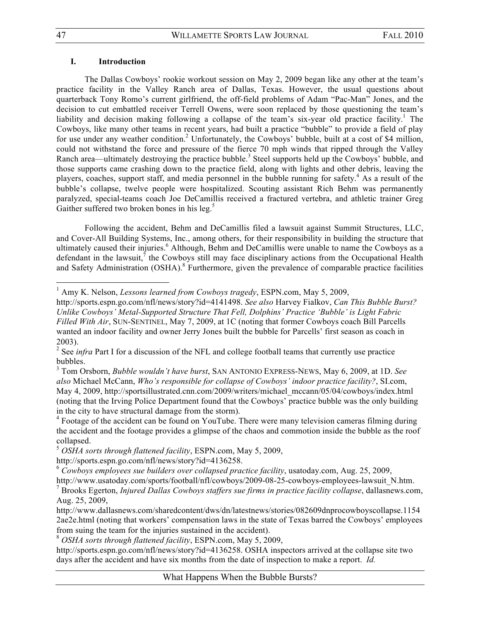#### **I. Introduction**

!!!!!!!!!!!!!!!!!!!!!!!!!!!!!!!!!!!!!!!!!!!!!!!!!!!!!!!!!!!!

The Dallas Cowboys' rookie workout session on May 2, 2009 began like any other at the team's practice facility in the Valley Ranch area of Dallas, Texas. However, the usual questions about quarterback Tony Romo's current girlfriend, the off-field problems of Adam "Pac-Man" Jones, and the decision to cut embattled receiver Terrell Owens, were soon replaced by those questioning the team's liability and decision making following a collapse of the team's six-year old practice facility.<sup>1</sup> The Cowboys, like many other teams in recent years, had built a practice "bubble" to provide a field of play for use under any weather condition.<sup>2</sup> Unfortunately, the Cowboys' bubble, built at a cost of \$4 million, could not withstand the force and pressure of the fierce 70 mph winds that ripped through the Valley Ranch area—ultimately destroying the practice bubble.<sup>3</sup> Steel supports held up the Cowboys' bubble, and those supports came crashing down to the practice field, along with lights and other debris, leaving the players, coaches, support staff, and media personnel in the bubble running for safety.<sup>4</sup> As a result of the bubble's collapse, twelve people were hospitalized. Scouting assistant Rich Behm was permanently paralyzed, special-teams coach Joe DeCamillis received a fractured vertebra, and athletic trainer Greg Gaither suffered two broken bones in his leg.<sup>5</sup>

Following the accident, Behm and DeCamillis filed a lawsuit against Summit Structures, LLC, and Cover-All Building Systems, Inc., among others, for their responsibility in building the structure that ultimately caused their injuries.<sup>6</sup> Although, Behm and DeCamillis were unable to name the Cowboys as a defendant in the lawsuit,  $\hbar$  the Cowboys still may face disciplinary actions from the Occupational Health and Safety Administration (OSHA).<sup>8</sup> Furthermore, given the prevalence of comparable practice facilities

<sup>4</sup> Footage of the accident can be found on YouTube. There were many television cameras filming during the accident and the footage provides a glimpse of the chaos and commotion inside the bubble as the roof collapsed.

<sup>&</sup>lt;sup>1</sup> Amy K. Nelson, *Lessons learned from Cowboys tragedy*, ESPN.com, May 5, 2009,

http://sports.espn.go.com/nfl/news/story?id=4141498. *See also* Harvey Fialkov, *Can This Bubble Burst? Unlike Cowboys' Metal-Supported Structure That Fell, Dolphins' Practice 'Bubble' is Light Fabric Filled With Air*, SUN-SENTINEL, May 7, 2009, at 1C (noting that former Cowboys coach Bill Parcells wanted an indoor facility and owner Jerry Jones built the bubble for Parcells' first season as coach in 2003).

<sup>&</sup>lt;sup>2</sup> See *infra* Part I for a discussion of the NFL and college football teams that currently use practice bubbles.

<sup>3</sup> Tom Orsborn, *Bubble wouldn't have burst*, SAN ANTONIO EXPRESS-NEWS, May 6, 2009, at 1D. *See also* Michael McCann, *Who's responsible for collapse of Cowboys' indoor practice facility?*, SI.com, May 4, 2009, http://sportsillustrated.cnn.com/2009/writers/michael\_mccann/05/04/cowboys/index.html (noting that the Irving Police Department found that the Cowboys' practice bubble was the only building in the city to have structural damage from the storm).

<sup>5</sup>  *OSHA sorts through flattened facility*, ESPN.com, May 5, 2009,

http://sports.espn.go.com/nfl/news/story?id=4136258.

<sup>6</sup> *Cowboys employees sue builders over collapsed practice facility*, usatoday.com, Aug. 25, 2009,

http://www.usatoday.com/sports/football/nfl/cowboys/2009-08-25-cowboys-employees-lawsuit\_N.htm.

<sup>7</sup> Brooks Egerton, *Injured Dallas Cowboys staffers sue firms in practice facility collapse*, dallasnews.com, Aug. 25, 2009,

http://www.dallasnews.com/sharedcontent/dws/dn/latestnews/stories/082609dnprocowboyscollapse.1154 2ae2e.html (noting that workers' compensation laws in the state of Texas barred the Cowboys' employees from suing the team for the injuries sustained in the accident).

<sup>8</sup> *OSHA sorts through flattened facility*, ESPN.com, May 5, 2009,

http://sports.espn.go.com/nfl/news/story?id=4136258. OSHA inspectors arrived at the collapse site two days after the accident and have six months from the date of inspection to make a report. *Id.*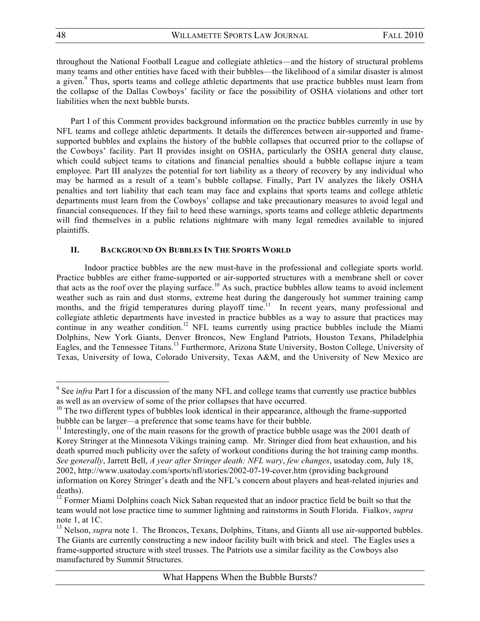throughout the National Football League and collegiate athletics—and the history of structural problems many teams and other entities have faced with their bubbles—the likelihood of a similar disaster is almost a given.<sup>9</sup> Thus, sports teams and college athletic departments that use practice bubbles must learn from the collapse of the Dallas Cowboys' facility or face the possibility of OSHA violations and other tort liabilities when the next bubble bursts.

Part I of this Comment provides background information on the practice bubbles currently in use by NFL teams and college athletic departments. It details the differences between air-supported and framesupported bubbles and explains the history of the bubble collapses that occurred prior to the collapse of the Cowboys' facility. Part II provides insight on OSHA, particularly the OSHA general duty clause, which could subject teams to citations and financial penalties should a bubble collapse injure a team employee. Part III analyzes the potential for tort liability as a theory of recovery by any individual who may be harmed as a result of a team's bubble collapse. Finally, Part IV analyzes the likely OSHA penalties and tort liability that each team may face and explains that sports teams and college athletic departments must learn from the Cowboys' collapse and take precautionary measures to avoid legal and financial consequences. If they fail to heed these warnings, sports teams and college athletic departments will find themselves in a public relations nightmare with many legal remedies available to injured plaintiffs.

#### **II. BACKGROUND ON BUBBLES IN THE SPORTS WORLD**

Indoor practice bubbles are the new must-have in the professional and collegiate sports world. Practice bubbles are either frame-supported or air-supported structures with a membrane shell or cover that acts as the roof over the playing surface.<sup>10</sup> As such, practice bubbles allow teams to avoid inclement weather such as rain and dust storms, extreme heat during the dangerously hot summer training camp months, and the frigid temperatures during playoff time.<sup>11</sup> In recent years, many professional and collegiate athletic departments have invested in practice bubbles as a way to assure that practices may continue in any weather condition.<sup>12</sup> NFL teams currently using practice bubbles include the Miami Dolphins, New York Giants, Denver Broncos, New England Patriots, Houston Texans, Philadelphia Eagles, and the Tennessee Titans.<sup>13</sup> Furthermore, Arizona State University, Boston College, University of Texas, University of Iowa, Colorado University, Texas A&M, and the University of New Mexico are

<sup>&</sup>lt;sup>9</sup> See *infra* Part I for a discussion of the many NFL and college teams that currently use practice bubbles as well as an overview of some of the prior collapses that have occurred.

 $10$  The two different types of bubbles look identical in their appearance, although the frame-supported bubble can be larger—a preference that some teams have for their bubble.

 $11$  Interestingly, one of the main reasons for the growth of practice bubble usage was the 2001 death of Korey Stringer at the Minnesota Vikings training camp. Mr. Stringer died from heat exhaustion, and his death spurred much publicity over the safety of workout conditions during the hot training camp months. *See generally*, Jarrett Bell, *A year after Stringer death: NFL wary*, *few changes*, usatoday.com, July 18, 2002, http://www.usatoday.com/sports/nfl/stories/2002-07-19-cover.htm (providing background information on Korey Stringer's death and the NFL's concern about players and heat-related injuries and deaths).

<sup>&</sup>lt;sup>12</sup> Former Miami Dolphins coach Nick Saban requested that an indoor practice field be built so that the team would not lose practice time to summer lightning and rainstorms in South Florida. Fialkov, *supra* note 1, at 1C.

<sup>&</sup>lt;sup>13</sup> Nelson, *supra* note 1. The Broncos, Texans, Dolphins, Titans, and Giants all use air-supported bubbles. The Giants are currently constructing a new indoor facility built with brick and steel. The Eagles uses a frame-supported structure with steel trusses. The Patriots use a similar facility as the Cowboys also manufactured by Summit Structures.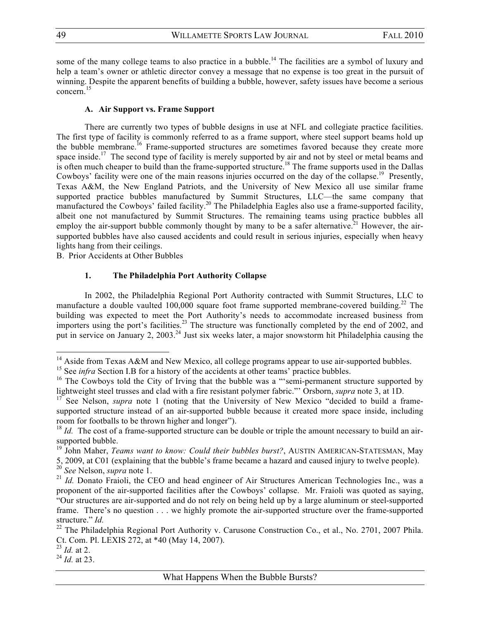some of the many college teams to also practice in a bubble.<sup>14</sup> The facilities are a symbol of luxury and help a team's owner or athletic director convey a message that no expense is too great in the pursuit of winning. Despite the apparent benefits of building a bubble, however, safety issues have become a serious  $concern.$ <sup>15</sup>

#### **A. Air Support vs. Frame Support**

There are currently two types of bubble designs in use at NFL and collegiate practice facilities. The first type of facility is commonly referred to as a frame support, where steel support beams hold up the bubble membrane.<sup>16</sup> Frame-supported structures are sometimes favored because they create more space inside.<sup>17</sup> The second type of facility is merely supported by air and not by steel or metal beams and is often much cheaper to build than the frame-supported structure.<sup>18</sup> The frame supports used in the Dallas Cowboys' facility were one of the main reasons injuries occurred on the day of the collapse.<sup>19</sup> Presently, Texas A&M, the New England Patriots, and the University of New Mexico all use similar frame supported practice bubbles manufactured by Summit Structures, LLC—the same company that manufactured the Cowboys' failed facility.<sup>20</sup> The Philadelphia Eagles also use a frame-supported facility, albeit one not manufactured by Summit Structures. The remaining teams using practice bubbles all employ the air-support bubble commonly thought by many to be a safer alternative.<sup>21</sup> However, the airsupported bubbles have also caused accidents and could result in serious injuries, especially when heavy lights hang from their ceilings.

B. Prior Accidents at Other Bubbles

!!!!!!!!!!!!!!!!!!!!!!!!!!!!!!!!!!!!!!!!!!!!!!!!!!!!!!!!!!!!

#### **1. The Philadelphia Port Authority Collapse**

In 2002, the Philadelphia Regional Port Authority contracted with Summit Structures, LLC to manufacture a double vaulted 100,000 square foot frame supported membrane-covered building.<sup>22</sup> The building was expected to meet the Port Authority's needs to accommodate increased business from importers using the port's facilities.<sup>23</sup> The structure was functionally completed by the end of 2002, and put in service on January 2, 2003.<sup>24</sup> Just six weeks later, a major snowstorm hit Philadelphia causing the

<sup>&</sup>lt;sup>14</sup> Aside from Texas A&M and New Mexico, all college programs appear to use air-supported bubbles.

<sup>&</sup>lt;sup>15</sup> See *infra* Section I.B for a history of the accidents at other teams' practice bubbles.

 $16$  The Cowboys told the City of Irving that the bubble was a "'semi-permanent structure supported by lightweight steel trusses and clad with a fire resistant polymer fabric."' Orsborn, *supra* note 3, at 1D.

<sup>&</sup>lt;sup>17</sup> See Nelson, *supra* note 1 (noting that the University of New Mexico "decided to build a framesupported structure instead of an air-supported bubble because it created more space inside, including room for footballs to be thrown higher and longer").

<sup>&</sup>lt;sup>18</sup> *Id.* The cost of a frame-supported structure can be double or triple the amount necessary to build an airsupported bubble.

<sup>&</sup>lt;sup>19</sup> John Maher, *Teams want to know: Could their bubbles burst?*, AUSTIN AMERICAN-STATESMAN, May

<sup>5, 2009,</sup> at C01 (explaining that the bubble's frame became a hazard and caused injury to twelve people).

<sup>20</sup> *See* Nelson, *supra* note 1.

<sup>&</sup>lt;sup>21</sup> *Id.* Donato Fraioli, the CEO and head engineer of Air Structures American Technologies Inc., was a proponent of the air-supported facilities after the Cowboys' collapse. Mr. Fraioli was quoted as saying, "Our structures are air-supported and do not rely on being held up by a large aluminum or steel-supported frame. There's no question . . . we highly promote the air-supported structure over the frame-supported structure." *Id.*

<sup>&</sup>lt;sup>22</sup> The Philadelphia Regional Port Authority v. Carusone Construction Co., et al., No. 2701, 2007 Phila. Ct. Com. Pl. LEXIS 272, at \*40 (May 14, 2007).

 $\frac{23}{23}$  *Id.* at 2.

<sup>24</sup> *Id.* at 23.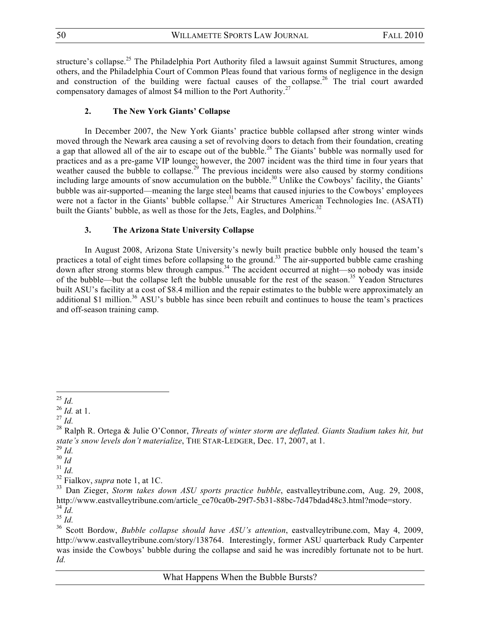structure's collapse.<sup>25</sup> The Philadelphia Port Authority filed a lawsuit against Summit Structures, among others, and the Philadelphia Court of Common Pleas found that various forms of negligence in the design and construction of the building were factual causes of the collapse.<sup>26</sup> The trial court awarded compensatory damages of almost \$4 million to the Port Authority.27

#### **2. The New York Giants' Collapse**

In December 2007, the New York Giants' practice bubble collapsed after strong winter winds moved through the Newark area causing a set of revolving doors to detach from their foundation, creating a gap that allowed all of the air to escape out of the bubble.<sup>28</sup> The Giants' bubble was normally used for practices and as a pre-game VIP lounge; however, the 2007 incident was the third time in four years that weather caused the bubble to collapse.<sup>29</sup> The previous incidents were also caused by stormy conditions including large amounts of snow accumulation on the bubble.<sup>30</sup> Unlike the Cowboys' facility, the Giants' bubble was air-supported—meaning the large steel beams that caused injuries to the Cowboys' employees were not a factor in the Giants' bubble collapse.<sup>31</sup> Air Structures American Technologies Inc. (ASATI) built the Giants' bubble, as well as those for the Jets, Eagles, and Dolphins.<sup>32</sup>

#### **3. The Arizona State University Collapse**

In August 2008, Arizona State University's newly built practice bubble only housed the team's practices a total of eight times before collapsing to the ground.<sup>33</sup> The air-supported bubble came crashing down after strong storms blew through campus.<sup>34</sup> The accident occurred at night—so nobody was inside of the bubble—but the collapse left the bubble unusable for the rest of the season.<sup>35</sup> Yeadon Structures built ASU's facility at a cost of \$8.4 million and the repair estimates to the bubble were approximately an additional \$1 million.<sup>36</sup> ASU's bubble has since been rebuilt and continues to house the team's practices and off-season training camp.

<sup>!!!!!!!!!!!!!!!!!!!!!!!!!!!!!!!!!!!!!!!!!!!!!!!!!!!!!!!!!!!!</sup> <sup>25</sup> *Id.*

<sup>26</sup> *Id.* at 1.

<sup>27</sup> *Id.*

<sup>28</sup> Ralph R. Ortega & Julie O'Connor, *Threats of winter storm are deflated. Giants Stadium takes hit, but state's snow levels don't materialize*, THE STAR-LEDGER, Dec. 17, 2007, at 1.

<sup>29</sup> *Id.*

 $\frac{30}{1}$   $\frac{10}{1}$ 

 $31$  *Id.* 

<sup>32</sup> Fialkov, *supra* note 1, at 1C.

<sup>33</sup> Dan Zieger, *Storm takes down ASU sports practice bubble*, eastvalleytribune.com, Aug. 29, 2008, http://www.eastvalleytribune.com/article\_ce70ca0b-29f7-5b31-88bc-7d47bdad48c3.html?mode=story.  $rac{34}{34}$  *Id.*<br> $rac{35}{16}$ .

<sup>&</sup>lt;sup>36</sup> Scott Bordow, *Bubble collapse should have ASU's attention*, eastvalleytribune.com, May 4, 2009, http://www.eastvalleytribune.com/story/138764. Interestingly, former ASU quarterback Rudy Carpenter was inside the Cowboys' bubble during the collapse and said he was incredibly fortunate not to be hurt. *Id.*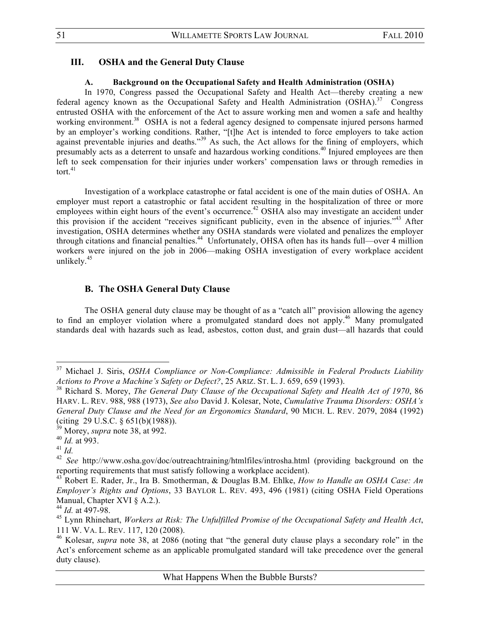### **III. OSHA and the General Duty Clause**

# **A. Background on the Occupational Safety and Health Administration (OSHA)**

In 1970, Congress passed the Occupational Safety and Health Act—thereby creating a new federal agency known as the Occupational Safety and Health Administration  $(OSHA)$ .<sup>37</sup> Congress entrusted OSHA with the enforcement of the Act to assure working men and women a safe and healthy working environment.<sup>38</sup> OSHA is not a federal agency designed to compensate injured persons harmed by an employer's working conditions. Rather, "[t]he Act is intended to force employers to take action against preventable injuries and deaths.<sup>339</sup> As such, the Act allows for the fining of employers, which presumably acts as a deterrent to unsafe and hazardous working conditions.<sup>40</sup> Injured employees are then left to seek compensation for their injuries under workers' compensation laws or through remedies in tort. $41$ 

Investigation of a workplace catastrophe or fatal accident is one of the main duties of OSHA. An employer must report a catastrophic or fatal accident resulting in the hospitalization of three or more employees within eight hours of the event's occurrence.<sup>42</sup> OSHA also may investigate an accident under this provision if the accident "receives significant publicity, even in the absence of injuries."43 After investigation, OSHA determines whether any OSHA standards were violated and penalizes the employer through citations and financial penalties.44 Unfortunately, OHSA often has its hands full—over 4 million workers were injured on the job in 2006—making OSHA investigation of every workplace accident unlikely.<sup>45</sup>

# **B. The OSHA General Duty Clause**

The OSHA general duty clause may be thought of as a "catch all" provision allowing the agency to find an employer violation where a promulgated standard does not apply.<sup>46</sup> Many promulgated standards deal with hazards such as lead, asbestos, cotton dust, and grain dust—all hazards that could

<sup>37</sup> Michael J. Siris, *OSHA Compliance or Non-Compliance: Admissible in Federal Products Liability Actions to Prove a Machine's Safety or Defect?*, 25 ARIZ. ST. L. J. 659, 659 (1993).

<sup>38</sup> Richard S. Morey, *The General Duty Clause of the Occupational Safety and Health Act of 1970*, 86 HARV. L. REV. 988, 988 (1973), *See also* David J. Kolesar, Note, *Cumulative Trauma Disorders: OSHA's General Duty Clause and the Need for an Ergonomics Standard*, 90 MICH. L. REV. 2079, 2084 (1992) (citing 29 U.S.C. § 651(b)(1988)).

<sup>39</sup> Morey, *supra* note 38, at 992.

<sup>40</sup> *Id.* at 993.

<sup>41</sup> *Id.*<sup>42</sup> *See* http://www.osha.gov/doc/outreachtraining/htmlfiles/introsha.html (providing background on the reporting requirements that must satisfy following a workplace accident).

<sup>43</sup> Robert E. Rader, Jr., Ira B. Smotherman, & Douglas B.M. Ehlke, *How to Handle an OSHA Case: An Employer's Rights and Options*, 33 BAYLOR L. REV. 493, 496 (1981) (citing OSHA Field Operations Manual, Chapter XVI § A.2.).

<sup>44</sup> *Id.* at 497-98.

<sup>45</sup> Lynn Rhinehart, *Workers at Risk: The Unfulfilled Promise of the Occupational Safety and Health Act*, 111 W. VA. L. REV. 117, 120 (2008).

<sup>46</sup> Kolesar, *supra* note 38, at 2086 (noting that "the general duty clause plays a secondary role" in the Act's enforcement scheme as an applicable promulgated standard will take precedence over the general duty clause).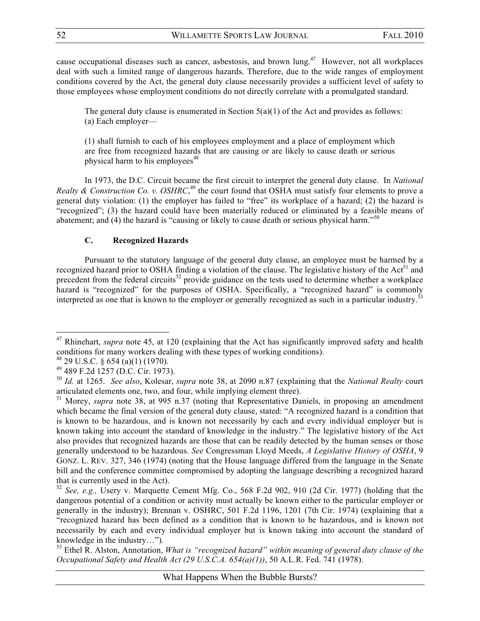cause occupational diseases such as cancer, asbestosis, and brown lung.47 However, not all workplaces deal with such a limited range of dangerous hazards. Therefore, due to the wide ranges of employment conditions covered by the Act, the general duty clause necessarily provides a sufficient level of safety to those employees whose employment conditions do not directly correlate with a promulgated standard.

The general duty clause is enumerated in Section  $5(a)(1)$  of the Act and provides as follows: (a) Each employer—

(1) shall furnish to each of his employees employment and a place of employment which are free from recognized hazards that are causing or are likely to cause death or serious physical harm to his employees<sup>48</sup>

In 1973, the D.C. Circuit became the first circuit to interpret the general duty clause. In *National Realty & Construction Co. v. OSHRC*<sup>49</sup>, the court found that OSHA must satisfy four elements to prove a general duty violation: (1) the employer has failed to "free" its workplace of a hazard; (2) the hazard is "recognized"; (3) the hazard could have been materially reduced or eliminated by a feasible means of abatement; and (4) the hazard is "causing or likely to cause death or serious physical harm."<sup>50</sup>

# **C. Recognized Hazards**

Pursuant to the statutory language of the general duty clause, an employee must be harmed by a recognized hazard prior to OSHA finding a violation of the clause. The legislative history of the Act<sup>51</sup> and precedent from the federal circuits<sup>52</sup> provide guidance on the tests used to determine whether a workplace hazard is "recognized" for the purposes of OSHA. Specifically, a "recognized hazard" is commonly interpreted as one that is known to the employer or generally recognized as such in a particular industry.<sup>53</sup>

<sup>&</sup>lt;sup>47</sup> Rhinehart, *supra* note 45, at 120 (explaining that the Act has significantly improved safety and health conditions for many workers dealing with these types of working conditions).

 $^{48}$  29 U.S.C. § 654 (a)(1) (1970).

<sup>49 489</sup> F.2d 1257 (D.C. Cir. 1973).

<sup>50</sup> *Id.* at 1265. *See also*, Kolesar, *supra* note 38, at 2090 n.87 (explaining that the *National Realty* court articulated elements one, two, and four, while implying element three).

<sup>&</sup>lt;sup>51</sup> Morey, *supra* note 38, at 995 n.37 (noting that Representative Daniels, in proposing an amendment which became the final version of the general duty clause, stated: "A recognized hazard is a condition that is known to be hazardous, and is known not necessarily by each and every individual employer but is known taking into account the standard of knowledge in the industry." The legislative history of the Act also provides that recognized hazards are those that can be readily detected by the human senses or those generally understood to be hazardous. *See* Congressman Lloyd Meeds, *A Legislative History of OSHA*, 9 GONZ. L. REV. 327, 346 (1974) (noting that the House language differed from the language in the Senate bill and the conference committee compromised by adopting the language describing a recognized hazard that is currently used in the Act).

<sup>52</sup> *See, e.g.,* Usery v. Marquette Cement Mfg. Co., 568 F.2d 902, 910 (2d Cir. 1977) (holding that the dangerous potential of a condition or activity must actually be known either to the particular employer or generally in the industry); Brennan v. OSHRC, 501 F.2d 1196, 1201 (7th Cir. 1974) (explaining that a "recognized hazard has been defined as a condition that is known to be hazardous, and is known not necessarily by each and every individual employer but is known taking into account the standard of knowledge in the industry…").

<sup>53</sup> Ethel R. Alston, Annotation, *What is "recognized hazard" within meaning of general duty clause of the Occupational Safety and Health Act (29 U.S.C.A. 654(a)(1))*, 50 A.L.R. Fed. 741 (1978).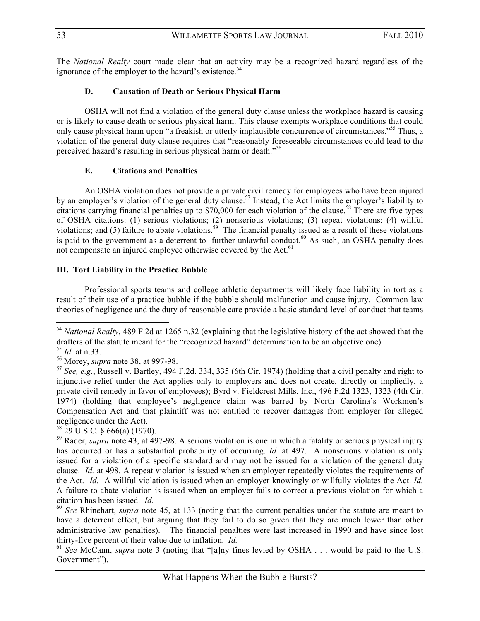The *National Realty* court made clear that an activity may be a recognized hazard regardless of the ignorance of the employer to the hazard's existence.<sup>54</sup>

# **D. Causation of Death or Serious Physical Harm**

OSHA will not find a violation of the general duty clause unless the workplace hazard is causing or is likely to cause death or serious physical harm. This clause exempts workplace conditions that could only cause physical harm upon "a freakish or utterly implausible concurrence of circumstances."<sup>55</sup> Thus, a violation of the general duty clause requires that "reasonably foreseeable circumstances could lead to the perceived hazard's resulting in serious physical harm or death."<sup>56</sup>

# **E. Citations and Penalties**

An OSHA violation does not provide a private civil remedy for employees who have been injured by an employer's violation of the general duty clause.<sup>57</sup> Instead, the Act limits the employer's liability to citations carrying financial penalties up to \$70,000 for each violation of the clause.<sup>58</sup> There are five types of OSHA citations: (1) serious violations; (2) nonserious violations; (3) repeat violations; (4) willful violations; and (5) failure to abate violations.<sup>59</sup> The financial penalty issued as a result of these violations is paid to the government as a deterrent to further unlawful conduct.<sup>60</sup> As such, an OSHA penalty does not compensate an injured employee otherwise covered by the Act.<sup>61</sup>

# **III. Tort Liability in the Practice Bubble**

Professional sports teams and college athletic departments will likely face liability in tort as a result of their use of a practice bubble if the bubble should malfunction and cause injury. Common law theories of negligence and the duty of reasonable care provide a basic standard level of conduct that teams

!!!!!!!!!!!!!!!!!!!!!!!!!!!!!!!!!!!!!!!!!!!!!!!!!!!!!!!!!!!!

 $58$  29 U.S.C. § 666(a) (1970).

<sup>54</sup> *National Realty*, 489 F.2d at 1265 n.32 (explaining that the legislative history of the act showed that the drafters of the statute meant for the "recognized hazard" determination to be an objective one).

<sup>55</sup> *Id.* at n.33.

<sup>56</sup> Morey, *supra* note 38, at 997-98.

<sup>57</sup> *See, e.g.*, Russell v. Bartley, 494 F.2d. 334, 335 (6th Cir. 1974) (holding that a civil penalty and right to injunctive relief under the Act applies only to employers and does not create, directly or impliedly, a private civil remedy in favor of employees); Byrd v. Fieldcrest Mills, Inc., 496 F.2d 1323, 1323 (4th Cir. 1974) (holding that employee's negligence claim was barred by North Carolina's Workmen's Compensation Act and that plaintiff was not entitled to recover damages from employer for alleged negligence under the Act).

<sup>59</sup> Rader, *supra* note 43, at 497-98. A serious violation is one in which a fatality or serious physical injury has occurred or has a substantial probability of occurring. *Id.* at 497. A nonserious violation is only issued for a violation of a specific standard and may not be issued for a violation of the general duty clause. *Id.* at 498. A repeat violation is issued when an employer repeatedly violates the requirements of the Act. *Id.* A willful violation is issued when an employer knowingly or willfully violates the Act. *Id.* A failure to abate violation is issued when an employer fails to correct a previous violation for which a citation has been issued. *Id.* 60 *See* Rhinehart, *supra* note 45, at 133 (noting that the current penalties under the statute are meant to

have a deterrent effect, but arguing that they fail to do so given that they are much lower than other administrative law penalties). The financial penalties were last increased in 1990 and have since lost thirty-five percent of their value due to inflation. *Id.*

<sup>61</sup> *See* McCann, *supra* note 3 (noting that "[a]ny fines levied by OSHA . . . would be paid to the U.S. Government").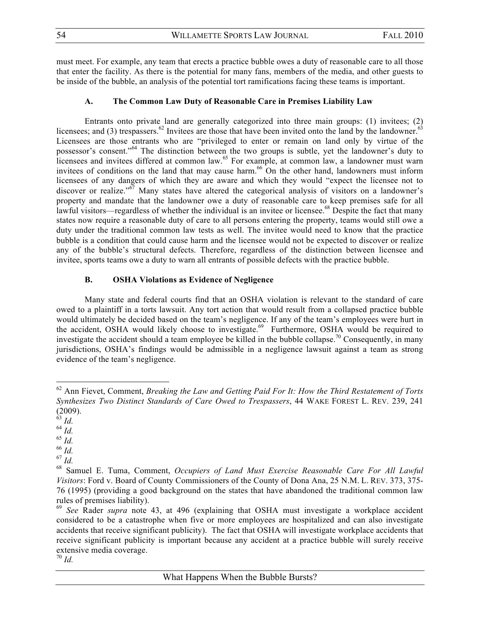must meet. For example, any team that erects a practice bubble owes a duty of reasonable care to all those that enter the facility. As there is the potential for many fans, members of the media, and other guests to be inside of the bubble, an analysis of the potential tort ramifications facing these teams is important.

#### **A. The Common Law Duty of Reasonable Care in Premises Liability Law**

Entrants onto private land are generally categorized into three main groups: (1) invitees; (2) licensees; and (3) trespassers.<sup>62</sup> Invitees are those that have been invited onto the land by the landowner.<sup>63</sup> Licensees are those entrants who are "privileged to enter or remain on land only by virtue of the possessor's consent."64 The distinction between the two groups is subtle, yet the landowner's duty to licensees and invitees differed at common law.<sup>65</sup> For example, at common law, a landowner must warn invitees of conditions on the land that may cause harm.<sup>66</sup> On the other hand, landowners must inform licensees of any dangers of which they are aware and which they would "expect the licensee not to discover or realize."<sup>67</sup> Many states have altered the categorical analysis of visitors on a landowner's property and mandate that the landowner owe a duty of reasonable care to keep premises safe for all lawful visitors—regardless of whether the individual is an invitee or licensee.<sup>68</sup> Despite the fact that many states now require a reasonable duty of care to all persons entering the property, teams would still owe a duty under the traditional common law tests as well. The invitee would need to know that the practice bubble is a condition that could cause harm and the licensee would not be expected to discover or realize any of the bubble's structural defects. Therefore, regardless of the distinction between licensee and invitee, sports teams owe a duty to warn all entrants of possible defects with the practice bubble.

#### **B. OSHA Violations as Evidence of Negligence**

Many state and federal courts find that an OSHA violation is relevant to the standard of care owed to a plaintiff in a torts lawsuit. Any tort action that would result from a collapsed practice bubble would ultimately be decided based on the team's negligence. If any of the team's employees were hurt in the accident, OSHA would likely choose to investigate.<sup>69</sup> Furthermore, OSHA would be required to investigate the accident should a team employee be killed in the bubble collapse.<sup>70</sup> Consequently, in many jurisdictions, OSHA's findings would be admissible in a negligence lawsuit against a team as strong evidence of the team's negligence.

!!!!!!!!!!!!!!!!!!!!!!!!!!!!!!!!!!!!!!!!!!!!!!!!!!!!!!!!!!!!

<sup>66</sup> *Id.*

<sup>62</sup> Ann Fievet, Comment, *Breaking the Law and Getting Paid For It: How the Third Restatement of Torts Synthesizes Two Distinct Standards of Care Owed to Trespassers*, 44 WAKE FOREST L. REV. 239, 241 (2009).

<sup>63</sup> *Id.*

<sup>64</sup> *Id.*

<sup>65</sup> *Id.*

 $^{67}$   $^{100}$ .

<sup>68</sup> Samuel E. Tuma, Comment, *Occupiers of Land Must Exercise Reasonable Care For All Lawful Visitors*: Ford v. Board of County Commissioners of the County of Dona Ana, 25 N.M. L. REV. 373, 375- 76 (1995) (providing a good background on the states that have abandoned the traditional common law rules of premises liability).

<sup>69</sup> *See* Rader *supra* note 43, at 496 (explaining that OSHA must investigate a workplace accident considered to be a catastrophe when five or more employees are hospitalized and can also investigate accidents that receive significant publicity). The fact that OSHA will investigate workplace accidents that receive significant publicity is important because any accident at a practice bubble will surely receive extensive media coverage.

<sup>70</sup> *Id.*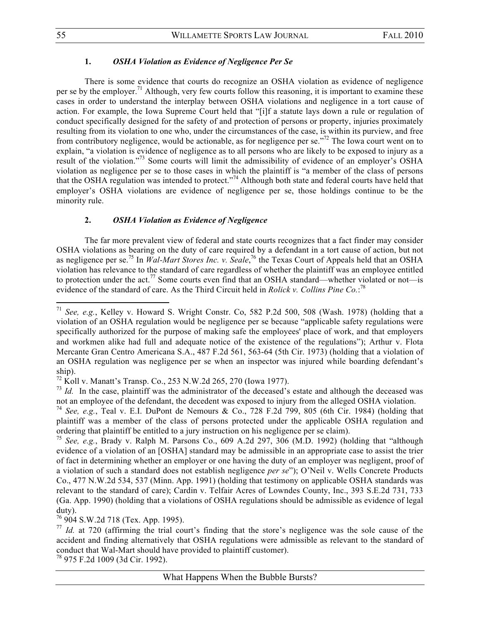#### **1.** *OSHA Violation as Evidence of Negligence Per Se*

There is some evidence that courts do recognize an OSHA violation as evidence of negligence per se by the employer.<sup>71</sup> Although, very few courts follow this reasoning, it is important to examine these cases in order to understand the interplay between OSHA violations and negligence in a tort cause of action. For example, the Iowa Supreme Court held that "[i]f a statute lays down a rule or regulation of conduct specifically designed for the safety of and protection of persons or property, injuries proximately resulting from its violation to one who, under the circumstances of the case, is within its purview, and free from contributory negligence, would be actionable, as for negligence per se."72 The Iowa court went on to explain, "a violation is evidence of negligence as to all persons who are likely to be exposed to injury as a result of the violation."73 Some courts will limit the admissibility of evidence of an employer's OSHA violation as negligence per se to those cases in which the plaintiff is "a member of the class of persons that the OSHA regulation was intended to protect."74 Although both state and federal courts have held that employer's OSHA violations are evidence of negligence per se, those holdings continue to be the minority rule.

#### **2.** *OSHA Violation as Evidence of Negligence*

The far more prevalent view of federal and state courts recognizes that a fact finder may consider OSHA violations as bearing on the duty of care required by a defendant in a tort cause of action, but not as negligence per se.<sup>75</sup> In *Wal-Mart Stores Inc. v. Seale*,<sup>76</sup> the Texas Court of Appeals held that an OSHA violation has relevance to the standard of care regardless of whether the plaintiff was an employee entitled to protection under the act.<sup>77</sup> Some courts even find that an OSHA standard—whether violated or not—is evidence of the standard of care. As the Third Circuit held in *Rolick v. Collins Pine Co.*: 78

76 904 S.W.2d 718 (Tex. App. 1995).

!!!!!!!!!!!!!!!!!!!!!!!!!!!!!!!!!!!!!!!!!!!!!!!!!!!!!!!!!!!!

78 975 F.2d 1009 (3d Cir. 1992).

<sup>71</sup> *See, e.g.*, Kelley v. Howard S. Wright Constr. Co, 582 P.2d 500, 508 (Wash. 1978) (holding that a violation of an OSHA regulation would be negligence per se because "applicable safety regulations were specifically authorized for the purpose of making safe the employees' place of work, and that employers and workmen alike had full and adequate notice of the existence of the regulations"); Arthur v. Flota Mercante Gran Centro Americana S.A., 487 F.2d 561, 563-64 (5th Cir. 1973) (holding that a violation of an OSHA regulation was negligence per se when an inspector was injured while boarding defendant's ship).

 $^{72}$  Koll v. Manatt's Transp. Co., 253 N.W.2d 265, 270 (Iowa 1977).

 $^{73}$  *Id.* In the case, plaintiff was the administrator of the deceased's estate and although the deceased was not an employee of the defendant, the decedent was exposed to injury from the alleged OSHA violation.

<sup>74</sup> *See, e.g.*, Teal v. E.I. DuPont de Nemours & Co., 728 F.2d 799, 805 (6th Cir. 1984) (holding that plaintiff was a member of the class of persons protected under the applicable OSHA regulation and ordering that plaintiff be entitled to a jury instruction on his negligence per se claim).

<sup>75</sup> *See, e.g.*, Brady v. Ralph M. Parsons Co., 609 A.2d 297, 306 (M.D. 1992) (holding that "although evidence of a violation of an [OSHA] standard may be admissible in an appropriate case to assist the trier of fact in determining whether an employer or one having the duty of an employer was negligent, proof of a violation of such a standard does not establish negligence *per se*"); O'Neil v. Wells Concrete Products Co., 477 N.W.2d 534, 537 (Minn. App. 1991) (holding that testimony on applicable OSHA standards was relevant to the standard of care); Cardin v. Telfair Acres of Lowndes County, Inc., 393 S.E.2d 731, 733 (Ga. App. 1990) (holding that a violations of OSHA regulations should be admissible as evidence of legal duty).

<sup>&</sup>lt;sup>77</sup> *Id.* at 720 (affirming the trial court's finding that the store's negligence was the sole cause of the accident and finding alternatively that OSHA regulations were admissible as relevant to the standard of conduct that Wal-Mart should have provided to plaintiff customer).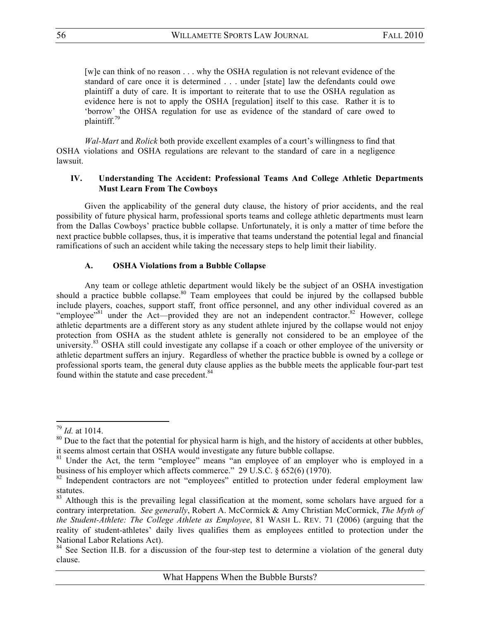[w]e can think of no reason . . . why the OSHA regulation is not relevant evidence of the standard of care once it is determined . . . under [state] law the defendants could owe plaintiff a duty of care. It is important to reiterate that to use the OSHA regulation as evidence here is not to apply the OSHA [regulation] itself to this case. Rather it is to 'borrow' the OHSA regulation for use as evidence of the standard of care owed to plaintiff.<sup>79</sup>

*Wal-Mart* and *Rolick* both provide excellent examples of a court's willingness to find that OSHA violations and OSHA regulations are relevant to the standard of care in a negligence lawsuit.

#### **IV. Understanding The Accident: Professional Teams And College Athletic Departments Must Learn From The Cowboys**

Given the applicability of the general duty clause, the history of prior accidents, and the real possibility of future physical harm, professional sports teams and college athletic departments must learn from the Dallas Cowboys' practice bubble collapse. Unfortunately, it is only a matter of time before the next practice bubble collapses, thus, it is imperative that teams understand the potential legal and financial ramifications of such an accident while taking the necessary steps to help limit their liability.

# **A. OSHA Violations from a Bubble Collapse**

Any team or college athletic department would likely be the subject of an OSHA investigation should a practice bubble collapse.<sup>80</sup> Team employees that could be injured by the collapsed bubble include players, coaches, support staff, front office personnel, and any other individual covered as an "employee"<sup>81</sup> under the Act—provided they are not an independent contractor.<sup>82</sup> However, college athletic departments are a different story as any student athlete injured by the collapse would not enjoy protection from OSHA as the student athlete is generally not considered to be an employee of the university.<sup>83</sup> OSHA still could investigate any collapse if a coach or other employee of the university or athletic department suffers an injury. Regardless of whether the practice bubble is owned by a college or professional sports team, the general duty clause applies as the bubble meets the applicable four-part test found within the statute and case precedent.<sup>84</sup>

<sup>79</sup> *Id.* at 1014.

 $80$  Due to the fact that the potential for physical harm is high, and the history of accidents at other bubbles, it seems almost certain that OSHA would investigate any future bubble collapse.

<sup>&</sup>lt;sup>81</sup> Under the Act, the term "employee" means "an employee of an employer who is employed in a business of his employer which affects commerce." 29 U.S.C. § 652(6) (1970).

<sup>&</sup>lt;sup>82</sup> Independent contractors are not "employees" entitled to protection under federal employment law statutes.

<sup>&</sup>lt;sup>83</sup> Although this is the prevailing legal classification at the moment, some scholars have argued for a contrary interpretation. *See generally*, Robert A. McCormick & Amy Christian McCormick, *The Myth of the Student-Athlete: The College Athlete as Employee*, 81 WASH L. REV. 71 (2006) (arguing that the reality of student-athletes' daily lives qualifies them as employees entitled to protection under the National Labor Relations Act).

<sup>&</sup>lt;sup>84</sup> See Section II.B. for a discussion of the four-step test to determine a violation of the general duty clause.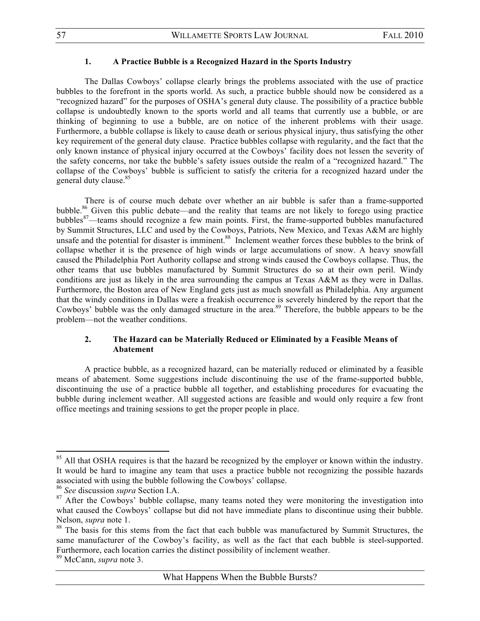#### **1. A Practice Bubble is a Recognized Hazard in the Sports Industry**

The Dallas Cowboys' collapse clearly brings the problems associated with the use of practice bubbles to the forefront in the sports world. As such, a practice bubble should now be considered as a "recognized hazard" for the purposes of OSHA's general duty clause. The possibility of a practice bubble collapse is undoubtedly known to the sports world and all teams that currently use a bubble, or are thinking of beginning to use a bubble, are on notice of the inherent problems with their usage. Furthermore, a bubble collapse is likely to cause death or serious physical injury, thus satisfying the other key requirement of the general duty clause. Practice bubbles collapse with regularity, and the fact that the only known instance of physical injury occurred at the Cowboys' facility does not lessen the severity of the safety concerns, nor take the bubble's safety issues outside the realm of a "recognized hazard." The collapse of the Cowboys' bubble is sufficient to satisfy the criteria for a recognized hazard under the general duty clause.<sup>85</sup>

There is of course much debate over whether an air bubble is safer than a frame-supported bubble.<sup>86</sup> Given this public debate—and the reality that teams are not likely to forego using practice bubbles<sup>87</sup>—teams should recognize a few main points. First, the frame-supported bubbles manufactured by Summit Structures, LLC and used by the Cowboys, Patriots, New Mexico, and Texas A&M are highly unsafe and the potential for disaster is imminent.<sup>88</sup> Inclement weather forces these bubbles to the brink of collapse whether it is the presence of high winds or large accumulations of snow. A heavy snowfall caused the Philadelphia Port Authority collapse and strong winds caused the Cowboys collapse. Thus, the other teams that use bubbles manufactured by Summit Structures do so at their own peril. Windy conditions are just as likely in the area surrounding the campus at Texas A&M as they were in Dallas. Furthermore, the Boston area of New England gets just as much snowfall as Philadelphia. Any argument that the windy conditions in Dallas were a freakish occurrence is severely hindered by the report that the Cowboys' bubble was the only damaged structure in the area.<sup>89</sup> Therefore, the bubble appears to be the problem—not the weather conditions.

#### **2. The Hazard can be Materially Reduced or Eliminated by a Feasible Means of Abatement**

A practice bubble, as a recognized hazard, can be materially reduced or eliminated by a feasible means of abatement. Some suggestions include discontinuing the use of the frame-supported bubble, discontinuing the use of a practice bubble all together, and establishing procedures for evacuating the bubble during inclement weather. All suggested actions are feasible and would only require a few front office meetings and training sessions to get the proper people in place.

<sup>&</sup>lt;sup>85</sup> All that OSHA requires is that the hazard be recognized by the employer or known within the industry. It would be hard to imagine any team that uses a practice bubble not recognizing the possible hazards associated with using the bubble following the Cowboys' collapse.

<sup>86</sup> *See* discussion *supra* Section I.A.

<sup>&</sup>lt;sup>87</sup> After the Cowboys' bubble collapse, many teams noted they were monitoring the investigation into what caused the Cowboys' collapse but did not have immediate plans to discontinue using their bubble. Nelson, *supra* note 1.

<sup>&</sup>lt;sup>88</sup> The basis for this stems from the fact that each bubble was manufactured by Summit Structures, the same manufacturer of the Cowboy's facility, as well as the fact that each bubble is steel-supported. Furthermore, each location carries the distinct possibility of inclement weather.

<sup>89</sup> McCann, *supra* note 3.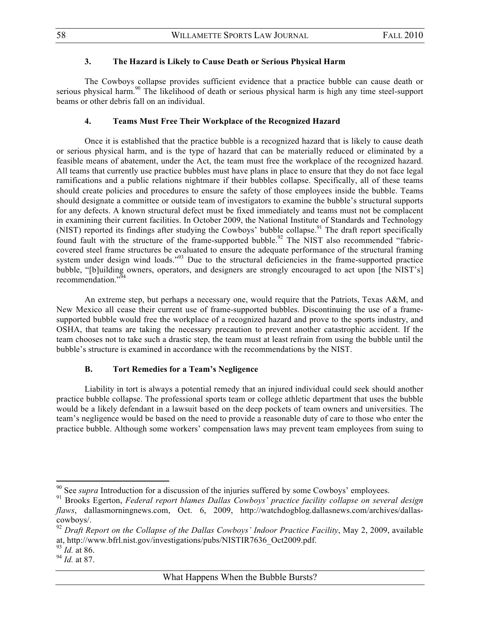#### **3. The Hazard is Likely to Cause Death or Serious Physical Harm**

The Cowboys collapse provides sufficient evidence that a practice bubble can cause death or serious physical harm.<sup>90</sup> The likelihood of death or serious physical harm is high any time steel-support beams or other debris fall on an individual.

#### **4. Teams Must Free Their Workplace of the Recognized Hazard**

Once it is established that the practice bubble is a recognized hazard that is likely to cause death or serious physical harm, and is the type of hazard that can be materially reduced or eliminated by a feasible means of abatement, under the Act, the team must free the workplace of the recognized hazard. All teams that currently use practice bubbles must have plans in place to ensure that they do not face legal ramifications and a public relations nightmare if their bubbles collapse. Specifically, all of these teams should create policies and procedures to ensure the safety of those employees inside the bubble. Teams should designate a committee or outside team of investigators to examine the bubble's structural supports for any defects. A known structural defect must be fixed immediately and teams must not be complacent in examining their current facilities. In October 2009, the National Institute of Standards and Technology (NIST) reported its findings after studying the Cowboys' bubble collapse.<sup>91</sup> The draft report specifically found fault with the structure of the frame-supported bubble.<sup>92</sup> The NIST also recommended "fabriccovered steel frame structures be evaluated to ensure the adequate performance of the structural framing system under design wind loads."<sup>93</sup> Due to the structural deficiencies in the frame-supported practice bubble, "[b]uilding owners, operators, and designers are strongly encouraged to act upon [the NIST's] recommendation."<sup>94</sup>

An extreme step, but perhaps a necessary one, would require that the Patriots, Texas A&M, and New Mexico all cease their current use of frame-supported bubbles. Discontinuing the use of a framesupported bubble would free the workplace of a recognized hazard and prove to the sports industry, and OSHA, that teams are taking the necessary precaution to prevent another catastrophic accident. If the team chooses not to take such a drastic step, the team must at least refrain from using the bubble until the bubble's structure is examined in accordance with the recommendations by the NIST.

#### **B. Tort Remedies for a Team's Negligence**

Liability in tort is always a potential remedy that an injured individual could seek should another practice bubble collapse. The professional sports team or college athletic department that uses the bubble would be a likely defendant in a lawsuit based on the deep pockets of team owners and universities. The team's negligence would be based on the need to provide a reasonable duty of care to those who enter the practice bubble. Although some workers' compensation laws may prevent team employees from suing to

<sup>&</sup>lt;sup>90</sup> See *supra* Introduction for a discussion of the injuries suffered by some Cowboys' employees.

<sup>91</sup> Brooks Egerton, *Federal report blames Dallas Cowboys' practice facility collapse on several design flaws*, dallasmorningnews.com, Oct. 6, 2009, http://watchdogblog.dallasnews.com/archives/dallascowboys/.

<sup>&</sup>lt;sup>92</sup> Draft Report on the Collapse of the Dallas Cowboys' Indoor Practice Facility, May 2, 2009, available at, http://www.bfrl.nist.gov/investigations/pubs/NISTIR7636\_Oct2009.pdf.

<sup>93</sup> *Id.* at 86.

<sup>94</sup> *Id.* at 87.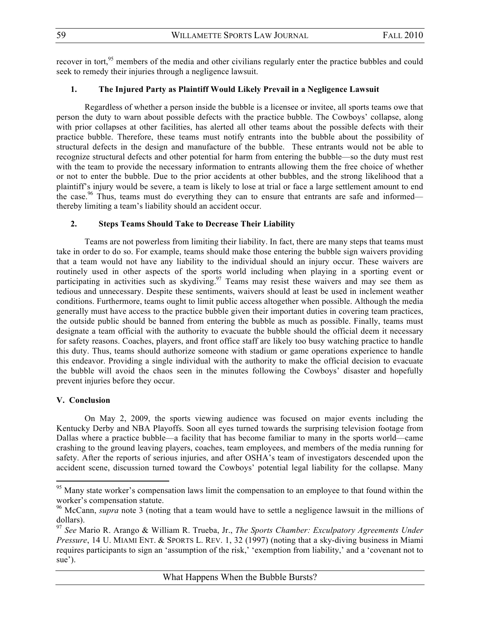recover in tort,<sup>95</sup> members of the media and other civilians regularly enter the practice bubbles and could seek to remedy their injuries through a negligence lawsuit.

### **1. The Injured Party as Plaintiff Would Likely Prevail in a Negligence Lawsuit**

Regardless of whether a person inside the bubble is a licensee or invitee, all sports teams owe that person the duty to warn about possible defects with the practice bubble. The Cowboys' collapse, along with prior collapses at other facilities, has alerted all other teams about the possible defects with their practice bubble. Therefore, these teams must notify entrants into the bubble about the possibility of structural defects in the design and manufacture of the bubble. These entrants would not be able to recognize structural defects and other potential for harm from entering the bubble—so the duty must rest with the team to provide the necessary information to entrants allowing them the free choice of whether or not to enter the bubble. Due to the prior accidents at other bubbles, and the strong likelihood that a plaintiff's injury would be severe, a team is likely to lose at trial or face a large settlement amount to end the case.<sup>96</sup> Thus, teams must do everything they can to ensure that entrants are safe and informed thereby limiting a team's liability should an accident occur.

# **2. Steps Teams Should Take to Decrease Their Liability**

Teams are not powerless from limiting their liability. In fact, there are many steps that teams must take in order to do so. For example, teams should make those entering the bubble sign waivers providing that a team would not have any liability to the individual should an injury occur. These waivers are routinely used in other aspects of the sports world including when playing in a sporting event or participating in activities such as skydiving.<sup>97</sup> Teams may resist these waivers and may see them as tedious and unnecessary. Despite these sentiments, waivers should at least be used in inclement weather conditions. Furthermore, teams ought to limit public access altogether when possible. Although the media generally must have access to the practice bubble given their important duties in covering team practices, the outside public should be banned from entering the bubble as much as possible. Finally, teams must designate a team official with the authority to evacuate the bubble should the official deem it necessary for safety reasons. Coaches, players, and front office staff are likely too busy watching practice to handle this duty. Thus, teams should authorize someone with stadium or game operations experience to handle this endeavor. Providing a single individual with the authority to make the official decision to evacuate the bubble will avoid the chaos seen in the minutes following the Cowboys' disaster and hopefully prevent injuries before they occur.

# **V. Conclusion**

!!!!!!!!!!!!!!!!!!!!!!!!!!!!!!!!!!!!!!!!!!!!!!!!!!!!!!!!!!!!

On May 2, 2009, the sports viewing audience was focused on major events including the Kentucky Derby and NBA Playoffs. Soon all eyes turned towards the surprising television footage from Dallas where a practice bubble—a facility that has become familiar to many in the sports world—came crashing to the ground leaving players, coaches, team employees, and members of the media running for safety. After the reports of serious injuries, and after OSHA's team of investigators descended upon the accident scene, discussion turned toward the Cowboys' potential legal liability for the collapse. Many

<sup>&</sup>lt;sup>95</sup> Many state worker's compensation laws limit the compensation to an employee to that found within the worker's compensation statute.

<sup>&</sup>lt;sup>96</sup> McCann, *supra* note 3 (noting that a team would have to settle a negligence lawsuit in the millions of dollars).

<sup>97</sup> *See* Mario R. Arango & William R. Trueba, Jr., *The Sports Chamber: Exculpatory Agreements Under Pressure*, 14 U. MIAMI ENT. & SPORTS L. REV. 1, 32 (1997) (noting that a sky-diving business in Miami requires participants to sign an 'assumption of the risk,' 'exemption from liability,' and a 'covenant not to sue').